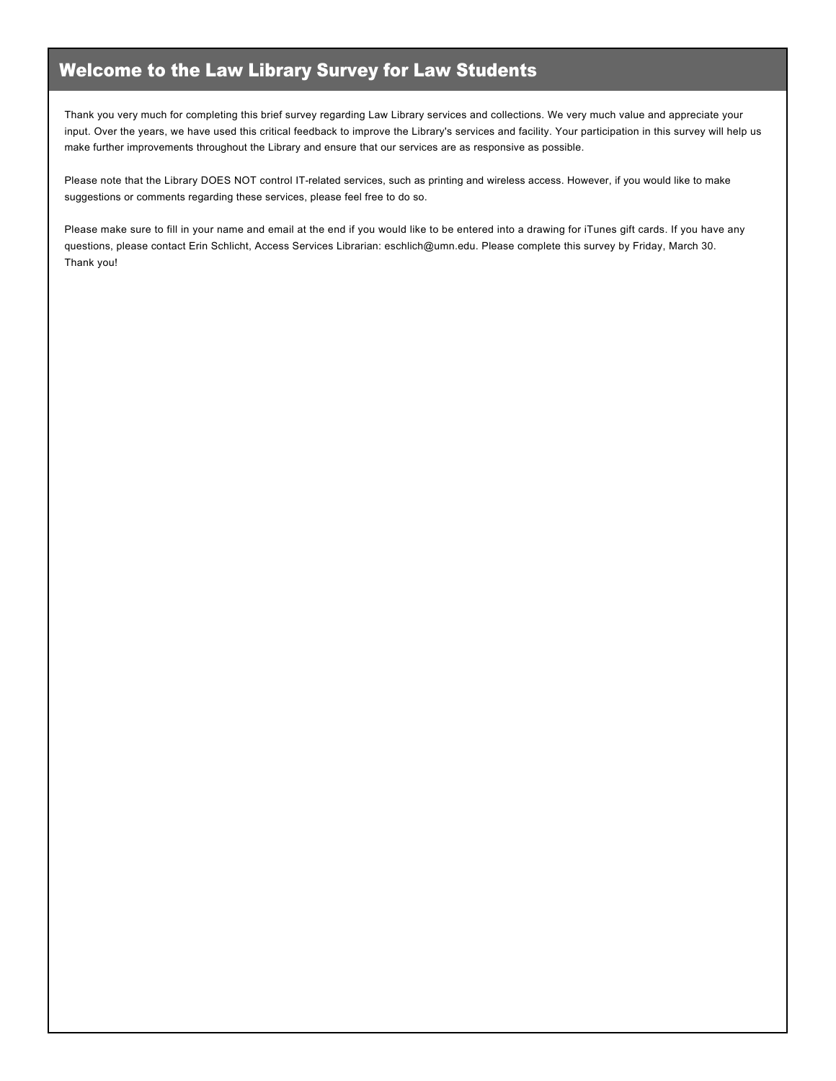## Welcome to the Law Library Survey for Law Students

Thank you very much for completing this brief survey regarding Law Library services and collections. We very much value and appreciate your input. Over the years, we have used this critical feedback to improve the Library's services and facility. Your participation in this survey will help us make further improvements throughout the Library and ensure that our services are as responsive as possible.

Please note that the Library DOES NOT control IT-related services, such as printing and wireless access. However, if you would like to make suggestions or comments regarding these services, please feel free to do so.

Please make sure to fill in your name and email at the end if you would like to be entered into a drawing for iTunes gift cards. If you have any questions, please contact Erin Schlicht, Access Services Librarian: eschlich@umn.edu. Please complete this survey by Friday, March 30. Thank you!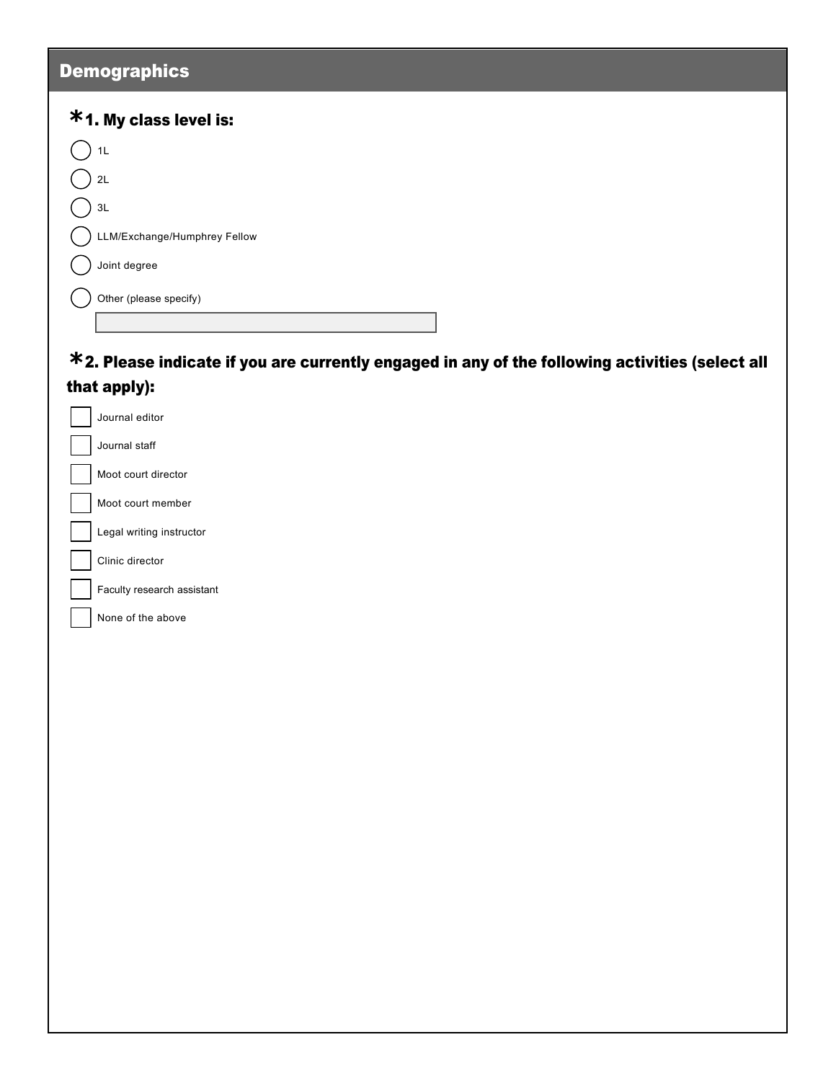## **Demographics**

 $\overline{\phantom{a}}$ 

| <b>*1. My class level is:</b> |
|-------------------------------|
| 1L                            |
| 2L                            |
| 3L                            |
| LLM/Exchange/Humphrey Fellow  |
| Joint degree                  |
| Other (please specify)        |

## 2. Please indicate if you are currently engaged in any of the following activities (select all **\*** that apply):

| Journal editor             |
|----------------------------|
| Journal staff              |
| Moot court director        |
| Moot court member          |
| Legal writing instructor   |
| Clinic director            |
| Faculty research assistant |
| None of the above          |
|                            |
|                            |
|                            |
|                            |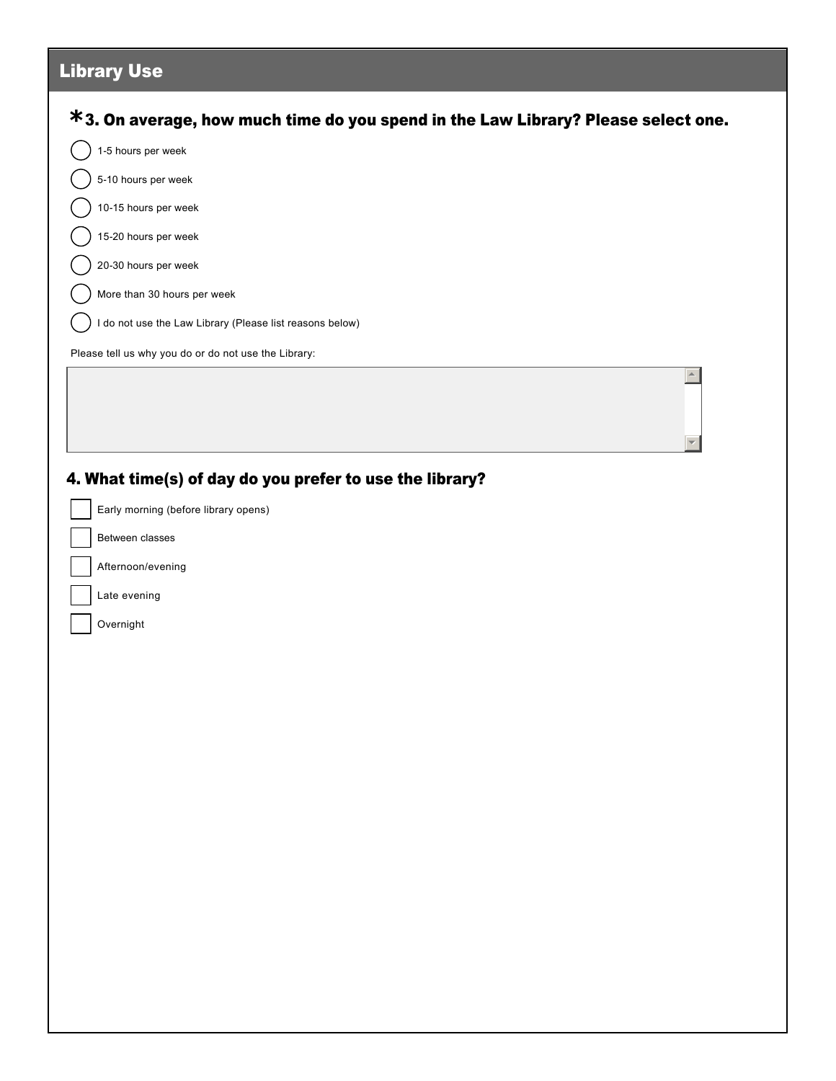| <b>Library Use</b>                                                                |  |
|-----------------------------------------------------------------------------------|--|
| *3. On average, how much time do you spend in the Law Library? Please select one. |  |
| 1-5 hours per week                                                                |  |
| 5-10 hours per week                                                               |  |
| 10-15 hours per week                                                              |  |
| 15-20 hours per week                                                              |  |
| 20-30 hours per week                                                              |  |
| More than 30 hours per week                                                       |  |
| I do not use the Law Library (Please list reasons below)                          |  |
| Please tell us why you do or do not use the Library:                              |  |
|                                                                                   |  |
|                                                                                   |  |
|                                                                                   |  |
| 4. What time(s) of day do you prefer to use the library?                          |  |
| Early morning (before library opens)                                              |  |
| Between classes                                                                   |  |
| Afternoon/evening                                                                 |  |
| Late evening                                                                      |  |
| Overnight                                                                         |  |
|                                                                                   |  |
|                                                                                   |  |
|                                                                                   |  |
|                                                                                   |  |
|                                                                                   |  |
|                                                                                   |  |
|                                                                                   |  |
|                                                                                   |  |
|                                                                                   |  |
|                                                                                   |  |
|                                                                                   |  |
|                                                                                   |  |
|                                                                                   |  |
|                                                                                   |  |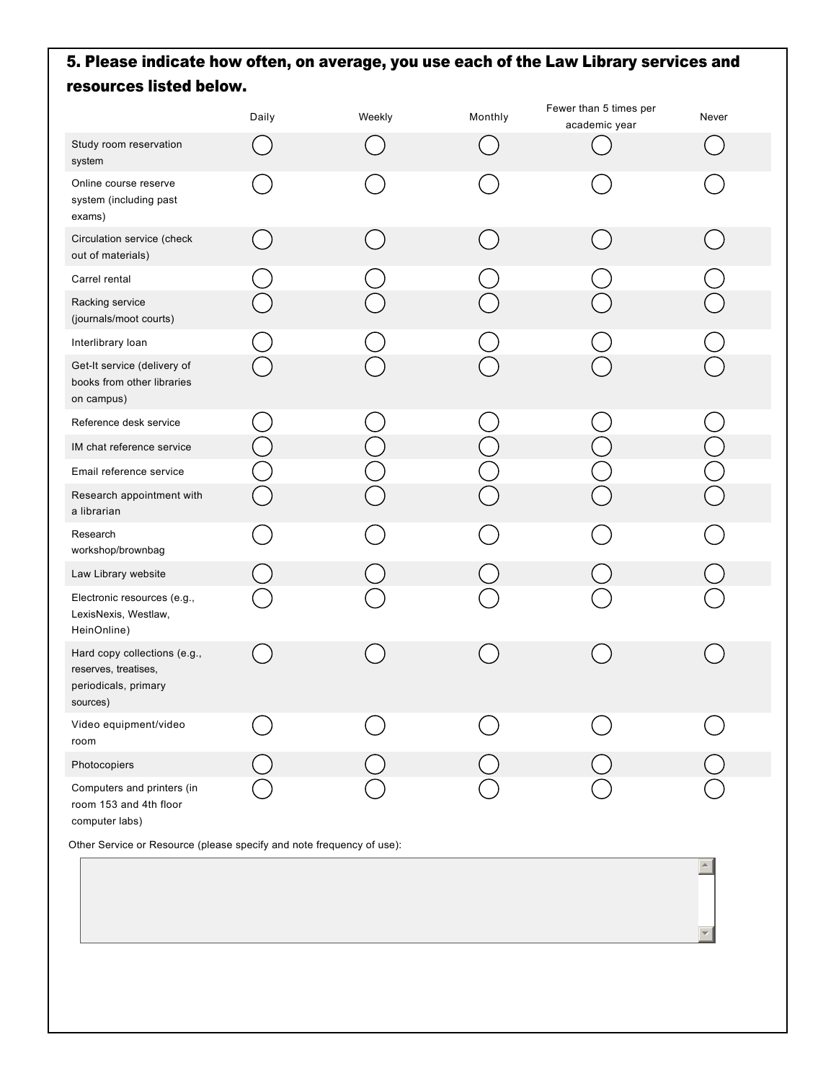## 5. Please indicate how often, on average, you use each of the Law Library services and resources listed below.

|                                                                                          | Daily | Weekly | Monthly | Fewer than 5 times per<br>academic year | Never |
|------------------------------------------------------------------------------------------|-------|--------|---------|-----------------------------------------|-------|
| Study room reservation<br>system                                                         |       |        |         |                                         |       |
| Online course reserve<br>system (including past<br>exams)                                |       |        |         |                                         |       |
| Circulation service (check<br>out of materials)                                          |       |        |         |                                         |       |
| Carrel rental                                                                            |       |        |         |                                         |       |
| Racking service<br>(journals/moot courts)                                                |       |        |         |                                         |       |
| Interlibrary loan                                                                        |       |        |         |                                         |       |
| Get-It service (delivery of<br>books from other libraries<br>on campus)                  |       |        |         |                                         |       |
| Reference desk service                                                                   |       |        |         |                                         |       |
| IM chat reference service                                                                |       |        |         |                                         |       |
| Email reference service                                                                  |       |        |         |                                         |       |
| Research appointment with<br>a librarian                                                 |       |        |         |                                         |       |
| Research<br>workshop/brownbag                                                            |       |        |         |                                         |       |
| Law Library website                                                                      |       |        |         |                                         |       |
| Electronic resources (e.g.,<br>LexisNexis, Westlaw,<br>HeinOnline)                       |       |        |         |                                         |       |
| Hard copy collections (e.g.,<br>reserves, treatises,<br>periodicals, primary<br>sources) |       |        |         |                                         |       |
| Video equipment/video<br>room                                                            |       |        |         |                                         |       |
| Photocopiers                                                                             |       |        |         |                                         |       |
| Computers and printers (in<br>room 153 and 4th floor<br>computer labs)                   |       |        |         |                                         |       |

 $\blacktriangle$ 

 $\overline{\phantom{a}}$ 

Other Service or Resource (please specify and note frequency of use):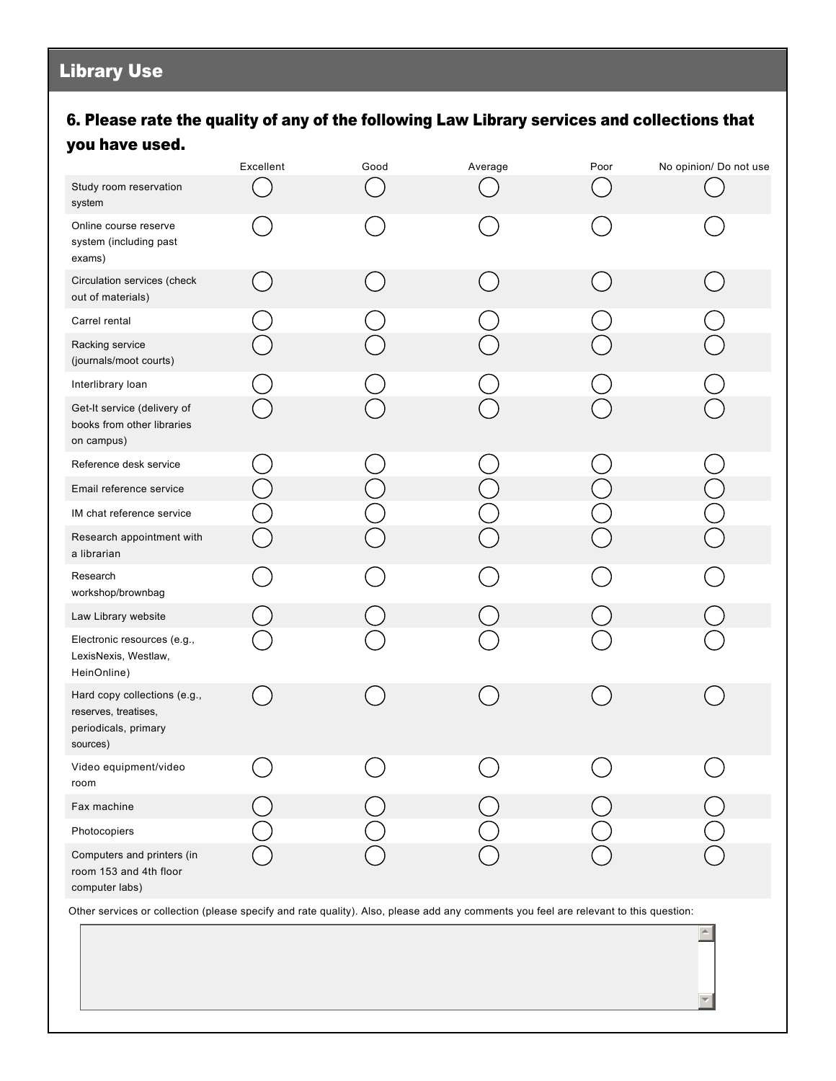## Library Use

## 6. Please rate the quality of any of the following Law Library services and collections that you have used.

|                                                                                          | Excellent | Good | Average | Poor | No opinion/ Do not use |
|------------------------------------------------------------------------------------------|-----------|------|---------|------|------------------------|
| Study room reservation<br>system                                                         |           |      |         |      |                        |
| Online course reserve<br>system (including past<br>exams)                                |           |      |         |      |                        |
| Circulation services (check<br>out of materials)                                         |           |      |         |      |                        |
| Carrel rental                                                                            |           |      |         |      |                        |
| Racking service<br>(journals/moot courts)                                                |           |      |         |      |                        |
| Interlibrary loan                                                                        |           |      |         |      |                        |
| Get-It service (delivery of<br>books from other libraries<br>on campus)                  |           |      |         |      |                        |
| Reference desk service                                                                   |           |      |         |      |                        |
| Email reference service                                                                  |           |      |         |      |                        |
| IM chat reference service                                                                |           |      |         |      |                        |
| Research appointment with<br>a librarian                                                 |           |      |         |      |                        |
| Research<br>workshop/brownbag                                                            |           |      |         |      |                        |
| Law Library website                                                                      |           |      |         |      |                        |
| Electronic resources (e.g.,<br>LexisNexis, Westlaw,<br>HeinOnline)                       |           |      |         |      |                        |
| Hard copy collections (e.g.,<br>reserves, treatises,<br>periodicals, primary<br>sources) |           |      |         |      |                        |
| Video equipment/video<br>room                                                            |           |      |         |      |                        |
| Fax machine                                                                              |           |      |         |      |                        |
| Photocopiers                                                                             |           |      |         |      |                        |
| Computers and printers (in<br>room 153 and 4th floor<br>computer labs)                   |           |      |         |      |                        |

Other services or collection (please specify and rate quality). Also, please add any comments you feel are relevant to this question:

 $\blacktriangle$ 

6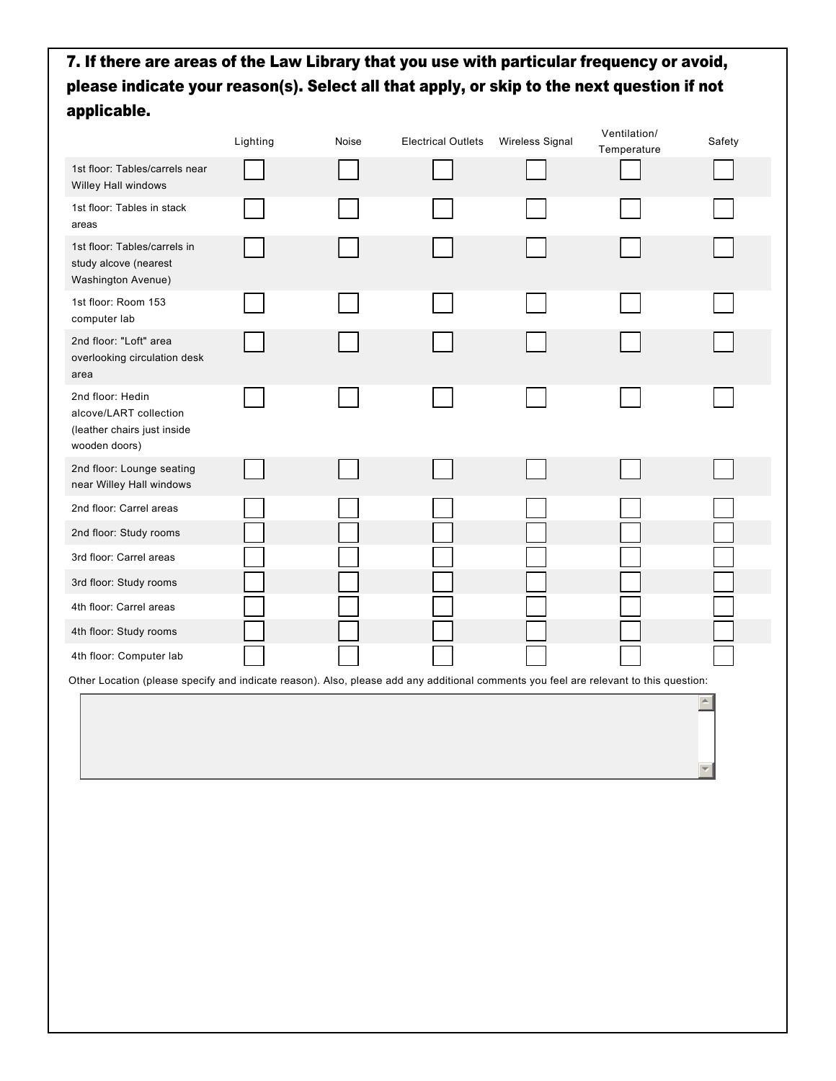## 7. If there are areas of the Law Library that you use with particular frequency or avoid, please indicate your reason(s). Select all that apply, or skip to the next question if not applicable.

|                                                                                                                                       | Lighting | Noise | <b>Electrical Outlets</b> | Wireless Signal | Ventilation/<br>Temperature | Safety           |
|---------------------------------------------------------------------------------------------------------------------------------------|----------|-------|---------------------------|-----------------|-----------------------------|------------------|
| 1st floor: Tables/carrels near<br>Willey Hall windows                                                                                 |          |       |                           |                 |                             |                  |
| 1st floor: Tables in stack<br>areas                                                                                                   |          |       |                           |                 |                             |                  |
| 1st floor: Tables/carrels in<br>study alcove (nearest<br>Washington Avenue)                                                           |          |       |                           |                 |                             |                  |
| 1st floor: Room 153<br>computer lab                                                                                                   |          |       |                           |                 |                             |                  |
| 2nd floor: "Loft" area<br>overlooking circulation desk<br>area                                                                        |          |       |                           |                 |                             |                  |
| 2nd floor: Hedin<br>alcove/LART collection<br>(leather chairs just inside<br>wooden doors)                                            |          |       |                           |                 |                             |                  |
| 2nd floor: Lounge seating<br>near Willey Hall windows                                                                                 |          |       |                           |                 |                             |                  |
| 2nd floor: Carrel areas                                                                                                               |          |       |                           |                 |                             |                  |
| 2nd floor: Study rooms                                                                                                                |          |       |                           |                 |                             |                  |
| 3rd floor: Carrel areas                                                                                                               |          |       |                           |                 |                             |                  |
| 3rd floor: Study rooms                                                                                                                |          |       |                           |                 |                             |                  |
| 4th floor: Carrel areas                                                                                                               |          |       |                           |                 |                             |                  |
| 4th floor: Study rooms                                                                                                                |          |       |                           |                 |                             |                  |
| 4th floor: Computer lab                                                                                                               |          |       |                           |                 |                             |                  |
| Other Location (please specify and indicate reason). Also, please add any additional comments you feel are relevant to this question: |          |       |                           |                 |                             |                  |
|                                                                                                                                       |          |       |                           |                 |                             | $\blacktriangle$ |
|                                                                                                                                       |          |       |                           |                 |                             |                  |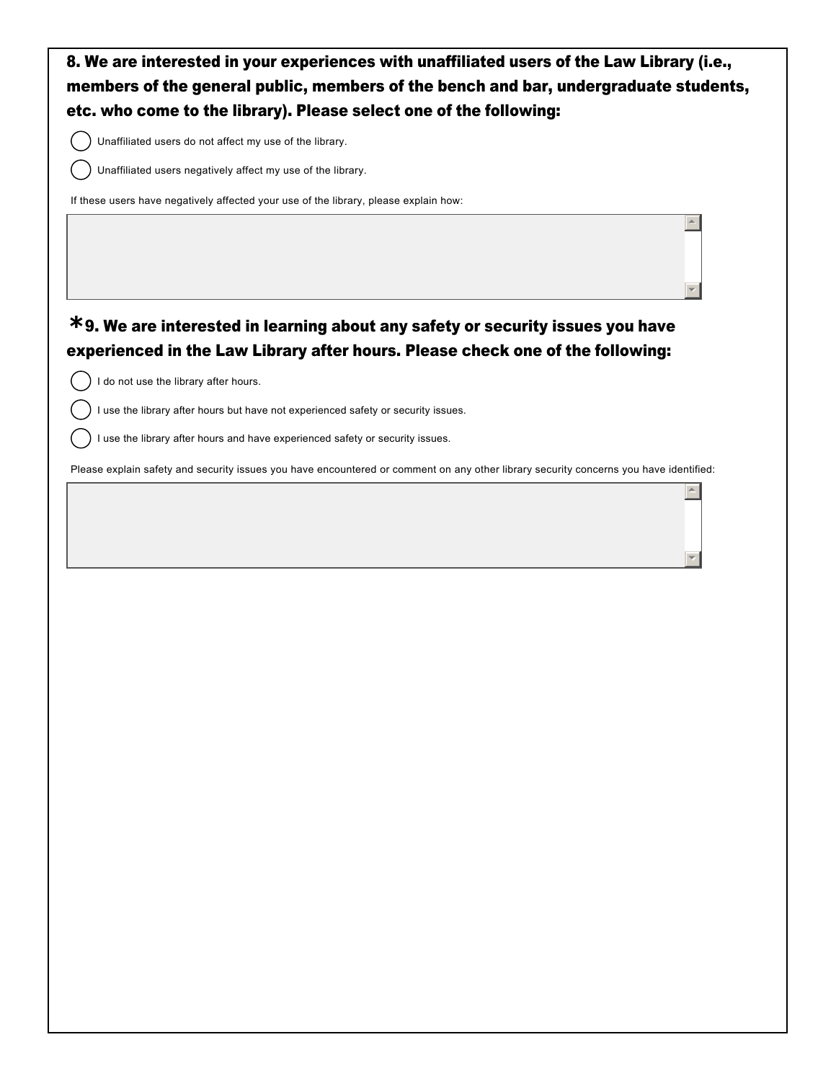

 $\overline{a}$ 

र |

 $\overline{a}$ 

6

Unaffiliated users do not affect my use of the library.

Unaffiliated users negatively affect my use of the library.

If these users have negatively affected your use of the library, please explain how:

## 9. We are interested in learning about any safety or security issues you have **\*** experienced in the Law Library after hours. Please check one of the following:

I do not use the library after hours.

I use the library after hours but have not experienced safety or security issues.

I use the library after hours and have experienced safety or security issues.

Please explain safety and security issues you have encountered or comment on any other library security concerns you have identified: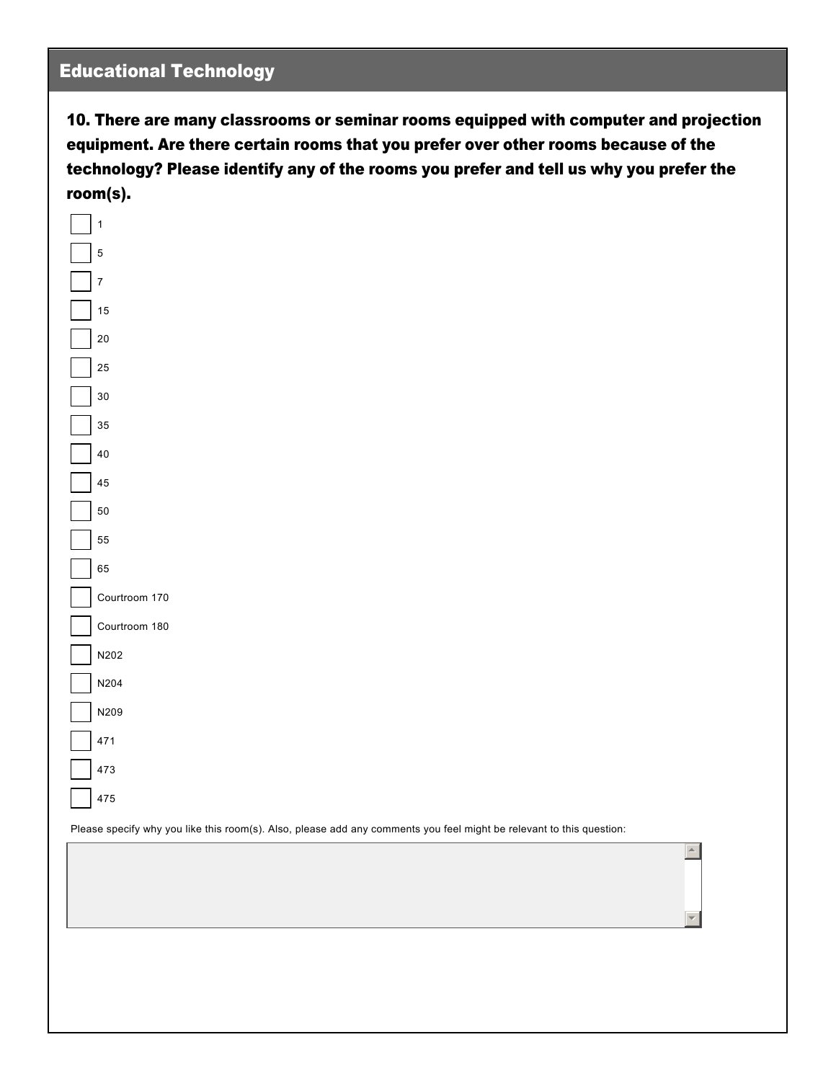## Educational Technology

10. There are many classrooms or seminar rooms equipped with computer and projection equipment. Are there certain rooms that you prefer over other rooms because of the technology? Please identify any of the rooms you prefer and tell us why you prefer the room(s).



Please specify why you like this room(s). Also, please add any comments you feel might be relevant to this question:

 $\triangle$ 

6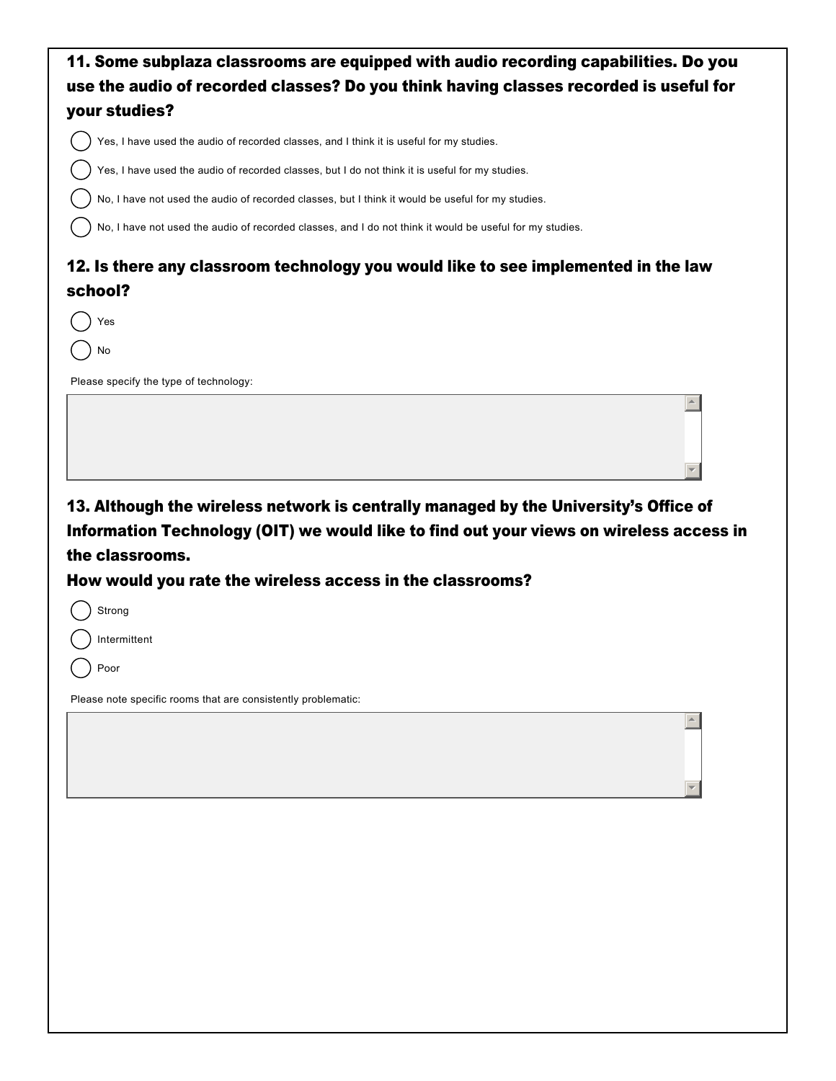| 11. Some subplaza classrooms are equipped with audio recording capabilities. Do you                                                                                                                |
|----------------------------------------------------------------------------------------------------------------------------------------------------------------------------------------------------|
| use the audio of recorded classes? Do you think having classes recorded is useful for                                                                                                              |
| your studies?                                                                                                                                                                                      |
| Yes, I have used the audio of recorded classes, and I think it is useful for my studies.                                                                                                           |
| Yes, I have used the audio of recorded classes, but I do not think it is useful for my studies.                                                                                                    |
| No, I have not used the audio of recorded classes, but I think it would be useful for my studies.                                                                                                  |
| No, I have not used the audio of recorded classes, and I do not think it would be useful for my studies.                                                                                           |
| 12. Is there any classroom technology you would like to see implemented in the law<br>school?                                                                                                      |
| Yes                                                                                                                                                                                                |
| No                                                                                                                                                                                                 |
| Please specify the type of technology:                                                                                                                                                             |
|                                                                                                                                                                                                    |
| 13. Although the wireless network is centrally managed by the University's Office of<br>Information Technology (OIT) we would like to find out your views on wireless access in<br>the classrooms. |
| How would you rate the wireless access in the classrooms?                                                                                                                                          |
| Strong                                                                                                                                                                                             |
| ) Intermittent                                                                                                                                                                                     |
| Poor                                                                                                                                                                                               |
| Please note specific rooms that are consistently problematic:                                                                                                                                      |
|                                                                                                                                                                                                    |
|                                                                                                                                                                                                    |
|                                                                                                                                                                                                    |
|                                                                                                                                                                                                    |
|                                                                                                                                                                                                    |
|                                                                                                                                                                                                    |
|                                                                                                                                                                                                    |
|                                                                                                                                                                                                    |
|                                                                                                                                                                                                    |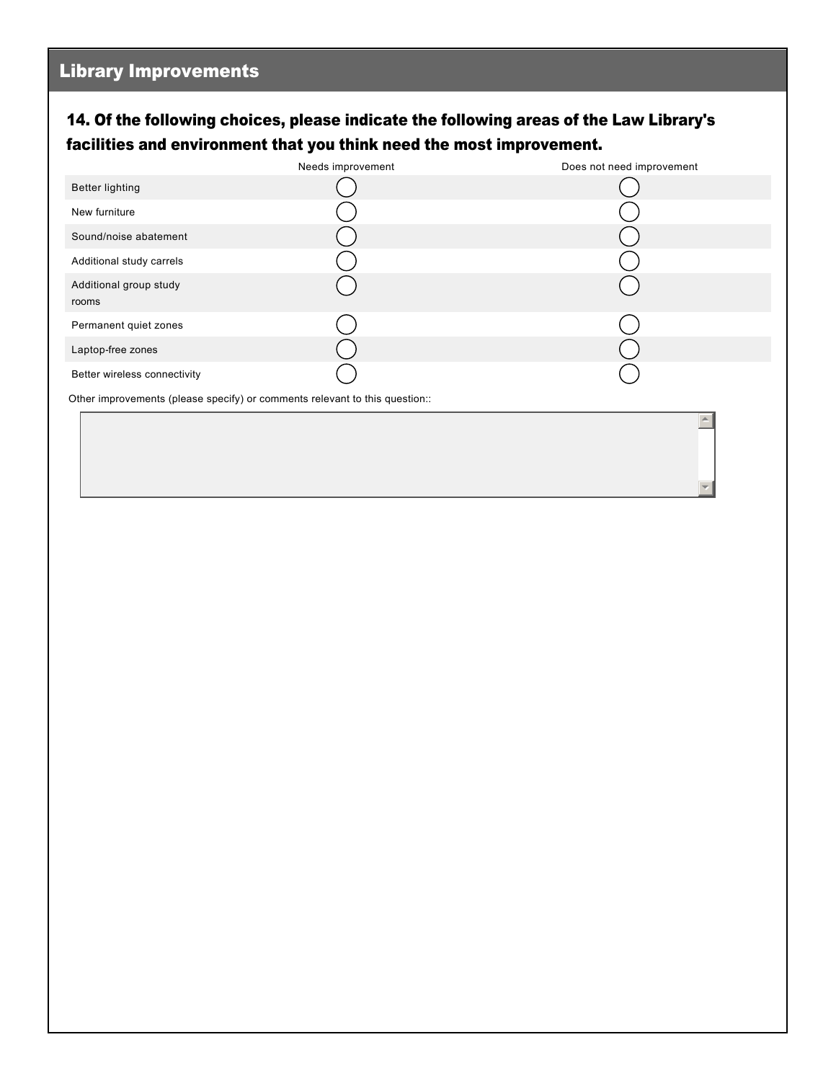## 14. Of the following choices, please indicate the following areas of the Law Library's facilities and environment that you think need the most improvement.

|                                                                             | Needs improvement | Does not need improvement |  |  |
|-----------------------------------------------------------------------------|-------------------|---------------------------|--|--|
| <b>Better lighting</b>                                                      |                   |                           |  |  |
| New furniture                                                               |                   |                           |  |  |
| Sound/noise abatement                                                       |                   |                           |  |  |
| Additional study carrels                                                    |                   |                           |  |  |
| Additional group study<br>rooms                                             |                   |                           |  |  |
| Permanent quiet zones                                                       |                   |                           |  |  |
| Laptop-free zones                                                           |                   |                           |  |  |
| Better wireless connectivity                                                |                   |                           |  |  |
| Other improvements (please specify) or comments relevant to this question:: |                   |                           |  |  |

 $\blacktriangle$ 

6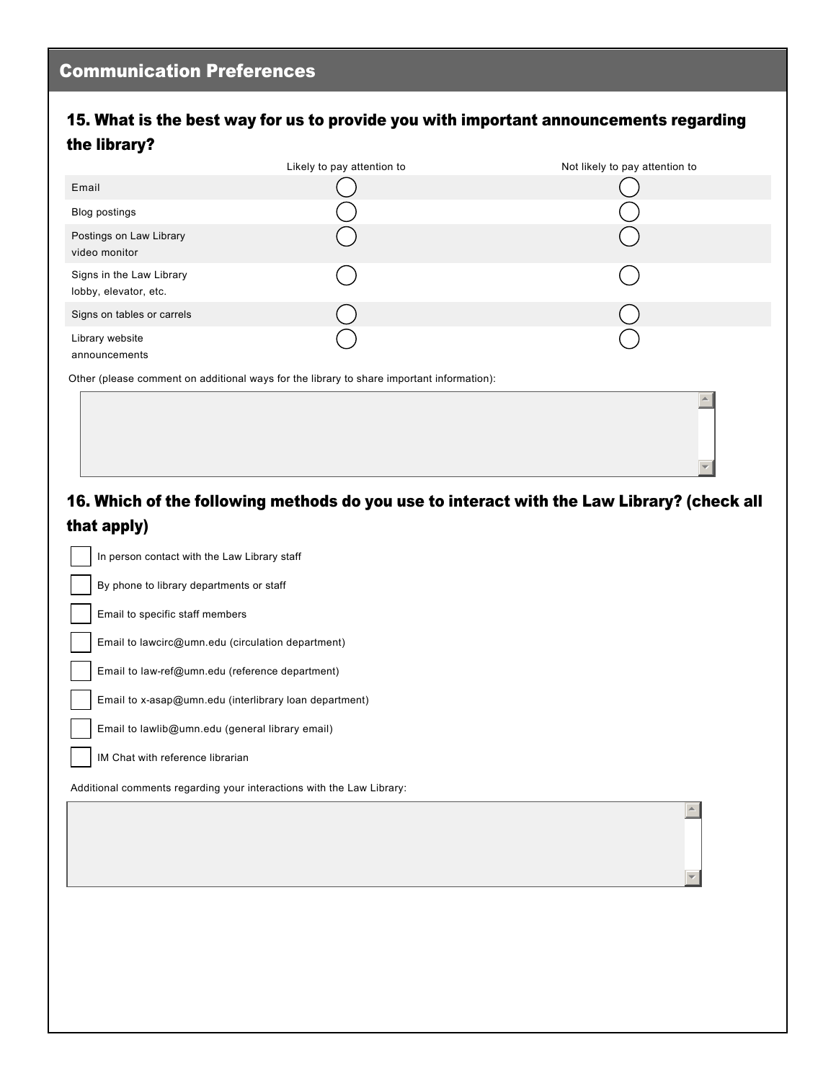#### 15. What is the best way for us to provide you with important announcements regarding the library?

|                                                   | Likely to pay attention to | Not likely to pay attention to |
|---------------------------------------------------|----------------------------|--------------------------------|
| Email                                             |                            |                                |
| Blog postings                                     |                            |                                |
| Postings on Law Library<br>video monitor          |                            |                                |
| Signs in the Law Library<br>lobby, elevator, etc. |                            |                                |
| Signs on tables or carrels                        |                            |                                |
| Library website<br>announcements                  |                            |                                |

Other (please comment on additional ways for the library to share important information):

## 16. Which of the following methods do you use to interact with the Law Library? (check all that apply)

 $\triangleq$ 

▼∥

 $\triangle$ 

6

In person contact with the Law Library staff

By phone to library departments or staff

Email to specific staff members

Email to lawcirc@umn.edu (circulation department)

Email to law-ref@umn.edu (reference department)

Email to x-asap@umn.edu (interlibrary loan department)

Email to lawlib@umn.edu (general library email)

IM Chat with reference librarian

Additional comments regarding your interactions with the Law Library: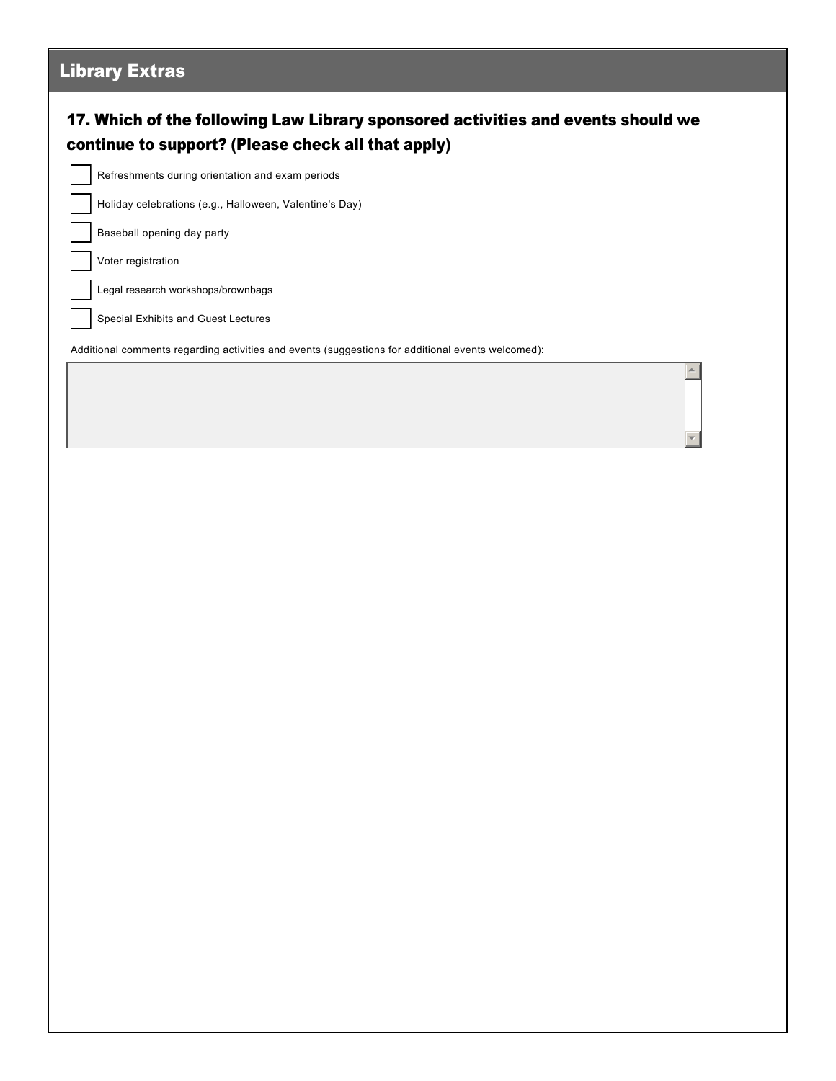# 17. Which of the following Law Library sponsored activities and events should we continue to support? (Please check all that apply) Library Extras Refreshments during orientation and exam periods Holiday celebrations (e.g., Halloween, Valentine's Day) Baseball opening day party Voter registration Legal research workshops/brownbags Special Exhibits and Guest Lectures Additional comments regarding activities and events (suggestions for additional events welcomed):  $\blacktriangle$ 6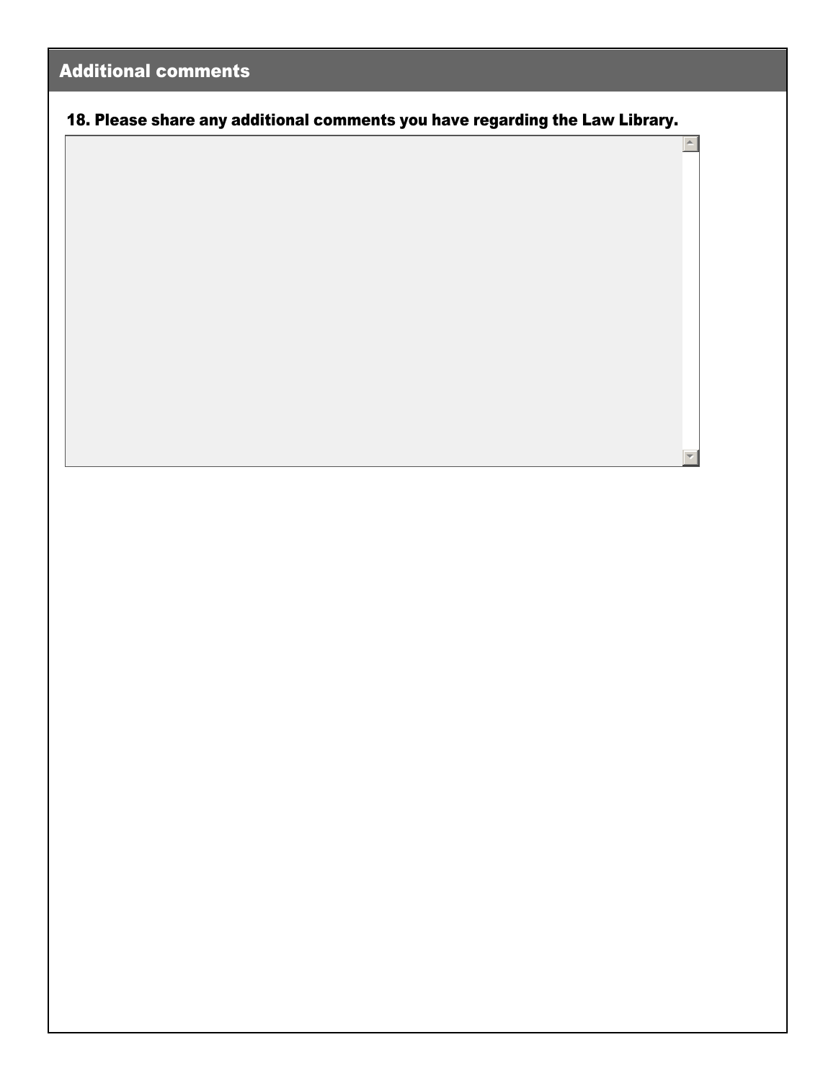## Additional comments

18. Please share any additional comments you have regarding the Law Library.

 $\vert \cdot \vert$ 

 $\overline{\phantom{a}}$